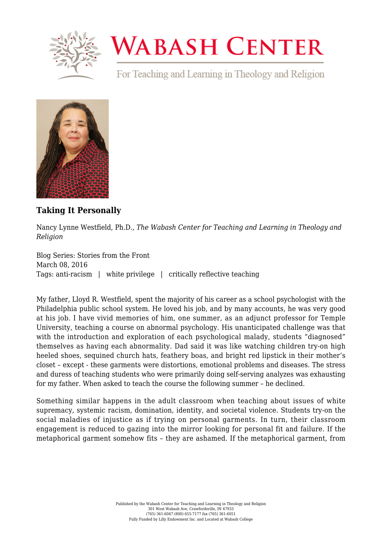

## **WABASH CENTER**

For Teaching and Learning in Theology and Religion



## **[Taking It Personally](https://www.wabashcenter.wabash.edu/2016/03/taking-it-personally/)**

Nancy Lynne Westfield, Ph.D., *The Wabash Center for Teaching and Learning in Theology and Religion*

Blog Series: Stories from the Front March 08, 2016 Tags: anti-racism | white privilege | critically reflective teaching

My father, Lloyd R. Westfield, spent the majority of his career as a school psychologist with the Philadelphia public school system. He loved his job, and by many accounts, he was very good at his job. I have vivid memories of him, one summer, as an adjunct professor for Temple University, teaching a course on abnormal psychology. His unanticipated challenge was that with the introduction and exploration of each psychological malady, students "diagnosed" themselves as having each abnormality. Dad said it was like watching children try-on high heeled shoes, sequined church hats, feathery boas, and bright red lipstick in their mother's closet – except - these garments were distortions, emotional problems and diseases. The stress and duress of teaching students who were primarily doing self-serving analyzes was exhausting for my father. When asked to teach the course the following summer – he declined.

Something similar happens in the adult classroom when teaching about issues of white supremacy, systemic racism, domination, identity, and societal violence. Students try-on the social maladies of injustice as if trying on personal garments. In turn, their classroom engagement is reduced to gazing into the mirror looking for personal fit and failure. If the metaphorical garment somehow fits – they are ashamed. If the metaphorical garment, from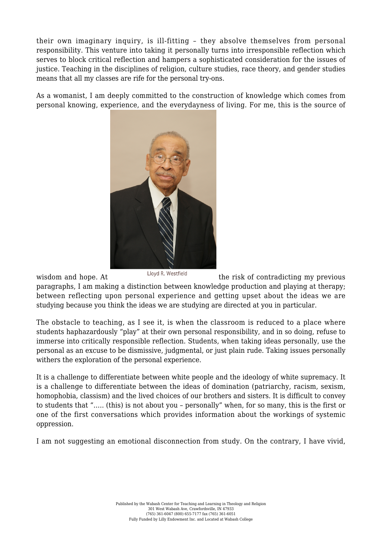their own imaginary inquiry, is ill-fitting – they absolve themselves from personal responsibility. This venture into taking it personally turns into irresponsible reflection which serves to block critical reflection and hampers a sophisticated consideration for the issues of justice. Teaching in the disciplines of religion, culture studies, race theory, and gender studies means that all my classes are rife for the personal try-ons.

As a womanist, I am deeply committed to the construction of knowledge which comes from personal knowing, experience, and the everydayness of living. For me, this is the source of



wisdom and hope. At Lloyd R. Westfield the risk of contradicting my previous

paragraphs, I am making a distinction between knowledge production and playing at therapy; between reflecting upon personal experience and getting upset about the ideas we are studying because you think the ideas we are studying are directed at you in particular.

The obstacle to teaching, as I see it, is when the classroom is reduced to a place where students haphazardously "play" at their own personal responsibility, and in so doing, refuse to immerse into critically responsible reflection. Students, when taking ideas personally, use the personal as an excuse to be dismissive, judgmental, or just plain rude. Taking issues personally withers the exploration of the personal experience.

It is a challenge to differentiate between white people and the ideology of white supremacy. It is a challenge to differentiate between the ideas of domination (patriarchy, racism, sexism, homophobia, classism) and the lived choices of our brothers and sisters. It is difficult to convey to students that "….. (this) is not about you – personally" when, for so many, this is the first or one of the first conversations which provides information about the workings of systemic oppression.

I am not suggesting an emotional disconnection from study. On the contrary, I have vivid,